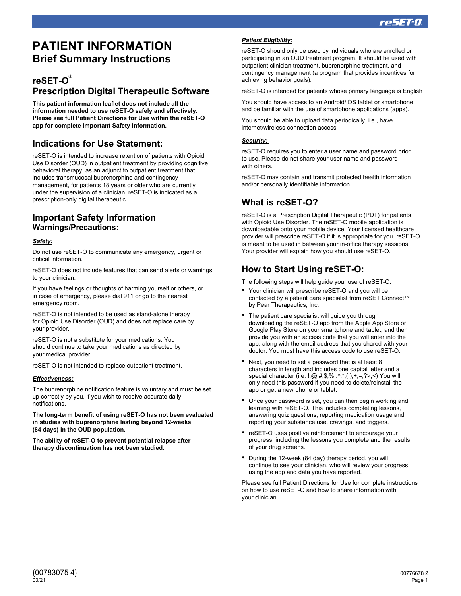# **PATIENT INFORMATION Brief Summary Instructions**

### **reSET-O® Prescription Digital Therapeutic Software**

**This patient information leaflet does not include all the information needed to use reSET-O safely and effectively. Please see full Patient Directions for Use within the reSET-O app for complete Important Safety Information.**

### **Indications for Use Statement:**

reSET-O is intended to increase retention of patients with Opioid Use Disorder (OUD) in outpatient treatment by providing cognitive behavioral therapy, as an adjunct to outpatient treatment that includes transmucosal buprenorphine and contingency management, for patients 18 years or older who are currently under the supervision of a clinician. reSET-O is indicated as a prescription-only digital therapeutic.

### **Important Safety Information Warnings/Precautions:**

#### *Safety:*

Do not use reSET-O to communicate any emergency, urgent or critical information.

reSET-O does not include features that can send alerts or warnings to your clinician.

If you have feelings or thoughts of harming yourself or others, or in case of emergency, please dial 911 or go to the nearest emergency room.

reSET-O is not intended to be used as stand-alone therapy for Opioid Use Disorder (OUD) and does not replace care by your provider.

reSET-O is not a substitute for your medications. You should continue to take your medications as directed by your medical provider.

reSET-O is not intended to replace outpatient treatment.

#### *Effectiveness:*

The buprenorphine notification feature is voluntary and must be set up correctly by you, if you wish to receive accurate daily notifications.

**The long-term benefit of using reSET-O has not been evaluated in studies with buprenorphine lasting beyond 12-weeks (84 days) in the OUD population.** 

**The ability of reSET-O to prevent potential relapse after therapy discontinuation has not been studied.**

#### *Patient Eligibility:*

reSET-O should only be used by individuals who are enrolled or participating in an OUD treatment program. It should be used with outpatient clinician treatment, buprenorphine treatment, and contingency management (a program that provides incentives for achieving behavior goals).

reSET-O is intended for patients whose primary language is English

You should have access to an Android/iOS tablet or smartphone and be familiar with the use of smartphone applications (apps).

You should be able to upload data periodically, i.e., have internet/wireless connection access

#### *Security:*

reSET-O requires you to enter a user name and password prior to use. Please do not share your user name and password with others.

reSET-O may contain and transmit protected health information and/or personally identifiable information.

## **What is reSET-O?**

reSET-O is a Prescription Digital Therapeutic (PDT) for patients with Opioid Use Disorder. The reSET-O mobile application is downloadable onto your mobile device. Your licensed healthcare provider will prescribe reSET-O if it is appropriate for you. reSET-O is meant to be used in between your in-office therapy sessions. Your provider will explain how you should use reSET-O.

### **How to Start Using reSET-O:**

The following steps will help guide your use of reSET-O:

- Your clinician will prescribe reSET-O and you will be contacted by a patient care specialist from reSET Connect™ by Pear Therapeutics, Inc.
- The patient care specialist will quide you through downloading the reSET-O app from the Apple App Store or Google Play Store on your smartphone and tablet, and then provide you with an access code that you will enter into the app, along with the email address that you shared with your doctor. You must have this access code to use reSET-O.
- Next, you need to set a password that is at least 8 characters in length and includes one capital letter and a special character (i.e. !,@,#,\$,%,.^,\*,( ),+,=,?>,<) You will only need this password if you need to delete/reinstall the app or get a new phone or tablet.
- Once your password is set, you can then begin working and learning with reSET-O. This includes completing lessons, answering quiz questions, reporting medication usage and reporting your substance use, cravings, and triggers.
- reSET-O uses positive reinforcement to encourage your progress, including the lessons you complete and the results of your drug screens.
- During the 12-week (84 day) therapy period, you will continue to see your clinician, who will review your progress using the app and data you have reported.

Please see full Patient Directions for Use for complete instructions on how to use reSET-O and how to share information with your clinician.